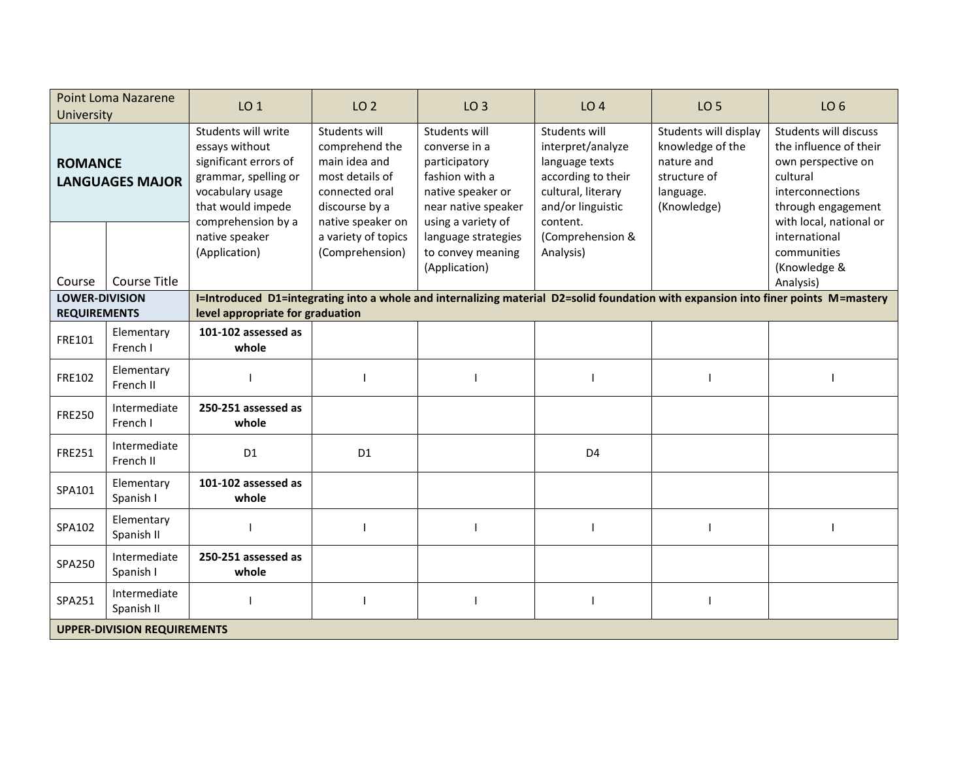| <b>Point Loma Nazarene</b><br><b>University</b> |                            | LO <sub>1</sub>                                                                                                                                                        | LO <sub>2</sub>                                                                                                              | LO <sub>3</sub>                                                                                                                     | LO <sub>4</sub>                                                                                                                   | <b>LO 5</b>                                                                                         | LO <sub>6</sub>                                                                                                                                               |  |
|-------------------------------------------------|----------------------------|------------------------------------------------------------------------------------------------------------------------------------------------------------------------|------------------------------------------------------------------------------------------------------------------------------|-------------------------------------------------------------------------------------------------------------------------------------|-----------------------------------------------------------------------------------------------------------------------------------|-----------------------------------------------------------------------------------------------------|---------------------------------------------------------------------------------------------------------------------------------------------------------------|--|
| <b>ROMANCE</b><br><b>LANGUAGES MAJOR</b>        |                            | Students will write<br>essays without<br>significant errors of<br>grammar, spelling or<br>vocabulary usage<br>that would impede<br>comprehension by a                  | Students will<br>comprehend the<br>main idea and<br>most details of<br>connected oral<br>discourse by a<br>native speaker on | Students will<br>converse in a<br>participatory<br>fashion with a<br>native speaker or<br>near native speaker<br>using a variety of | Students will<br>interpret/analyze<br>language texts<br>according to their<br>cultural, literary<br>and/or linguistic<br>content. | Students will display<br>knowledge of the<br>nature and<br>structure of<br>language.<br>(Knowledge) | <b>Students will discuss</b><br>the influence of their<br>own perspective on<br>cultural<br>interconnections<br>through engagement<br>with local, national or |  |
| Course                                          | <b>Course Title</b>        | native speaker<br>(Application)                                                                                                                                        | a variety of topics<br>(Comprehension)                                                                                       | language strategies<br>to convey meaning<br>(Application)                                                                           | (Comprehension &<br>Analysis)                                                                                                     |                                                                                                     | international<br>communities<br>(Knowledge &<br>Analysis)                                                                                                     |  |
| <b>LOWER-DIVISION</b><br><b>REQUIREMENTS</b>    |                            | I=Introduced D1=integrating into a whole and internalizing material D2=solid foundation with expansion into finer points M=mastery<br>level appropriate for graduation |                                                                                                                              |                                                                                                                                     |                                                                                                                                   |                                                                                                     |                                                                                                                                                               |  |
| FRE101                                          | Elementary<br>French I     | 101-102 assessed as<br>whole                                                                                                                                           |                                                                                                                              |                                                                                                                                     |                                                                                                                                   |                                                                                                     |                                                                                                                                                               |  |
| FRE102                                          | Elementary<br>French II    |                                                                                                                                                                        |                                                                                                                              |                                                                                                                                     |                                                                                                                                   |                                                                                                     |                                                                                                                                                               |  |
| <b>FRE250</b>                                   | Intermediate<br>French I   | 250-251 assessed as<br>whole                                                                                                                                           |                                                                                                                              |                                                                                                                                     |                                                                                                                                   |                                                                                                     |                                                                                                                                                               |  |
| <b>FRE251</b>                                   | Intermediate<br>French II  | D <sub>1</sub>                                                                                                                                                         | D <sub>1</sub>                                                                                                               |                                                                                                                                     | D <sub>4</sub>                                                                                                                    |                                                                                                     |                                                                                                                                                               |  |
| SPA101                                          | Elementary<br>Spanish I    | 101-102 assessed as<br>whole                                                                                                                                           |                                                                                                                              |                                                                                                                                     |                                                                                                                                   |                                                                                                     |                                                                                                                                                               |  |
| SPA102                                          | Elementary<br>Spanish II   |                                                                                                                                                                        |                                                                                                                              |                                                                                                                                     |                                                                                                                                   |                                                                                                     |                                                                                                                                                               |  |
| SPA250                                          | Intermediate<br>Spanish I  | 250-251 assessed as<br>whole                                                                                                                                           |                                                                                                                              |                                                                                                                                     |                                                                                                                                   |                                                                                                     |                                                                                                                                                               |  |
| SPA251                                          | Intermediate<br>Spanish II |                                                                                                                                                                        |                                                                                                                              |                                                                                                                                     |                                                                                                                                   |                                                                                                     |                                                                                                                                                               |  |
| <b>UPPER-DIVISION REQUIREMENTS</b>              |                            |                                                                                                                                                                        |                                                                                                                              |                                                                                                                                     |                                                                                                                                   |                                                                                                     |                                                                                                                                                               |  |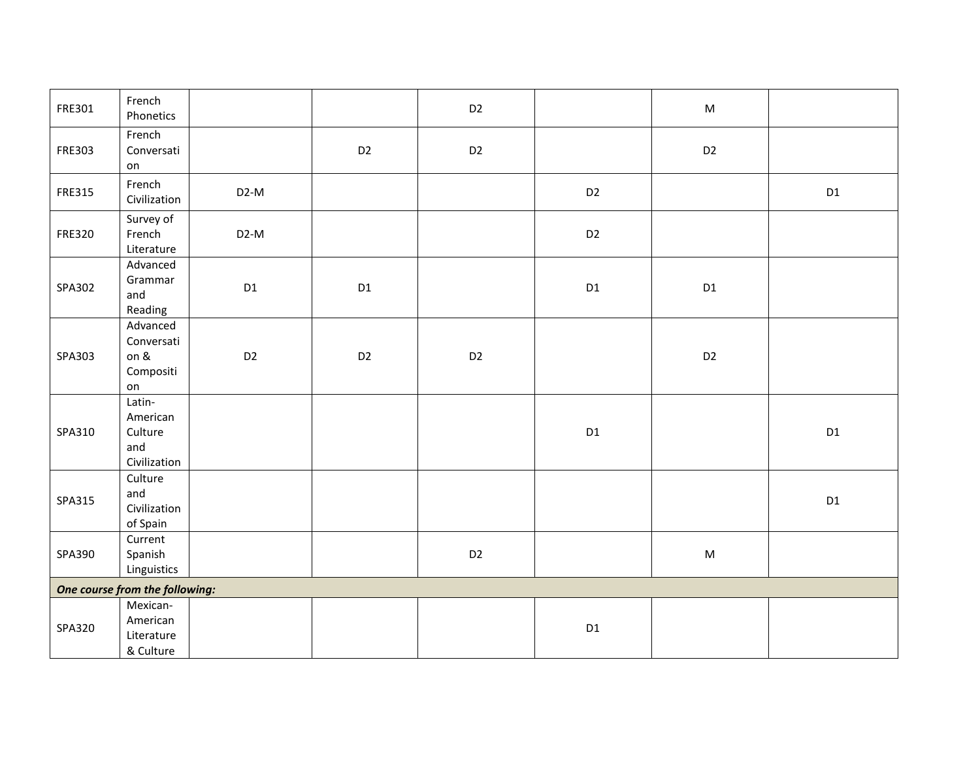| FRE301        | French<br>Phonetics                                            |                   |                | D <sub>2</sub> |                | ${\sf M}$      |    |  |
|---------------|----------------------------------------------------------------|-------------------|----------------|----------------|----------------|----------------|----|--|
| FRE303        | French<br>Conversati<br>on                                     |                   | D <sub>2</sub> | D <sub>2</sub> |                | D <sub>2</sub> |    |  |
| FRE315        | French<br>Civilization                                         | D <sub>2</sub> -M |                |                | D <sub>2</sub> |                | D1 |  |
| <b>FRE320</b> | Survey of<br>French<br>Literature                              | $D2-M$            |                |                | D <sub>2</sub> |                |    |  |
| SPA302        | Advanced<br>Grammar<br>and<br>Reading                          | D1                | D1             |                | D1             | $\mathsf{D}1$  |    |  |
| SPA303        | Advanced<br>Conversati<br>on &<br>Compositi<br>on              | D <sub>2</sub>    | D <sub>2</sub> | D <sub>2</sub> |                | D <sub>2</sub> |    |  |
| SPA310        | Latin-<br>American<br>Culture<br>and<br>Civilization           |                   |                |                | D1             |                | D1 |  |
| SPA315        | $\overline{\text{Culture}}$<br>and<br>Civilization<br>of Spain |                   |                |                |                |                | D1 |  |
| SPA390        | Current<br>Spanish<br>Linguistics                              |                   |                | D <sub>2</sub> |                | ${\sf M}$      |    |  |
|               | One course from the following:                                 |                   |                |                |                |                |    |  |
| SPA320        | Mexican-<br>American<br>Literature<br>& Culture                |                   |                |                | D1             |                |    |  |